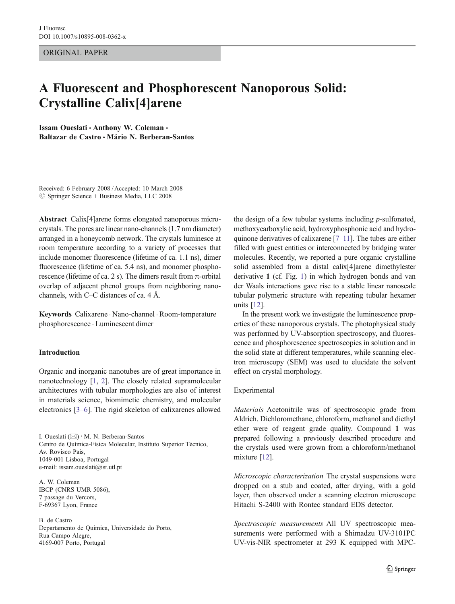ORIGINAL PAPER

# A Fluorescent and Phosphorescent Nanoporous Solid: Crystalline Calix[4]arene

Issam Oueslati · Anthony W. Coleman · Baltazar de Castro · Mário N. Berberan-Santos

Received: 6 February 2008 / Accepted: 10 March 2008  $\oslash$  Springer Science + Business Media, LLC 2008

Abstract Calix[4]arene forms elongated nanoporous microcrystals. The pores are linear nano-channels (1.7 nm diameter) arranged in a honeycomb network. The crystals luminesce at room temperature according to a variety of processes that include monomer fluorescence (lifetime of ca. 1.1 ns), dimer fluorescence (lifetime of ca. 5.4 ns), and monomer phosphorescence (lifetime of ca. 2 s). The dimers result from  $\pi$ -orbital overlap of adjacent phenol groups from neighboring nanochannels, with C–C distances of ca. 4 Å.

Keywords Calixarene . Nano-channel . Room-temperature phosphorescence . Luminescent dimer

### Introduction

Organic and inorganic nanotubes are of great importance in nanotechnology [\[1](#page-5-0), [2\]](#page-5-0). The closely related supramolecular architectures with tubular morphologies are also of interest in materials science, biomimetic chemistry, and molecular electronics [[3](#page-5-0)–[6\]](#page-5-0). The rigid skeleton of calixarenes allowed

I. Oueslati (*\**) *:* M. N. Berberan-Santos Centro de Química-Física Molecular, Instituto Superior Técnico, Av. Rovisco Pais, 1049-001 Lisboa, Portugal e-mail: issam.oueslati@ist.utl.pt

A. W. Coleman IBCP (CNRS UMR 5086), 7 passage du Vercors, F-69367 Lyon, France

B. de Castro Departamento de Química, Universidade do Porto, Rua Campo Alegre, 4169-007 Porto, Portugal

the design of a few tubular systems including  $p$ -sulfonated, methoxycarboxylic acid, hydroxyphosphonic acid and hydroquinone derivatives of calixarene [\[7](#page-5-0)–[11\]](#page-5-0). The tubes are either filled with guest entities or interconnected by bridging water molecules. Recently, we reported a pure organic crystalline solid assembled from a distal calix[4]arene dimethylester derivative 1 (cf. Fig. [1](#page-1-0)) in which hydrogen bonds and van der Waals interactions gave rise to a stable linear nanoscale tubular polymeric structure with repeating tubular hexamer units [\[12](#page-5-0)].

In the present work we investigate the luminescence properties of these nanoporous crystals. The photophysical study was performed by UV-absorption spectroscopy, and fluorescence and phosphorescence spectroscopies in solution and in the solid state at different temperatures, while scanning electron microscopy (SEM) was used to elucidate the solvent effect on crystal morphology.

### Experimental

Materials Acetonitrile was of spectroscopic grade from Aldrich. Dichloromethane, chloroform, methanol and diethyl ether were of reagent grade quality. Compound 1 was prepared following a previously described procedure and the crystals used were grown from a chloroform/methanol mixture [[12\]](#page-5-0).

Microscopic characterization The crystal suspensions were dropped on a stub and coated, after drying, with a gold layer, then observed under a scanning electron microscope Hitachi S-2400 with Rontec standard EDS detector.

Spectroscopic measurements All UV spectroscopic measurements were performed with a Shimadzu UV-3101PC UV-vis-NIR spectrometer at 293 K equipped with MPC-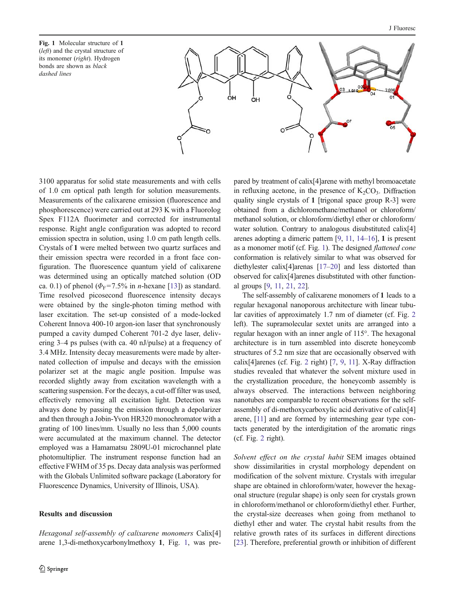<span id="page-1-0"></span>Fig. 1 Molecular structure of 1 (left) and the crystal structure of its monomer (right). Hydrogen bonds are shown as black dashed lines



3100 apparatus for solid state measurements and with cells of 1.0 cm optical path length for solution measurements. Measurements of the calixarene emission (fluorescence and phosphorescence) were carried out at 293 K with a Fluorolog Spex F112A fluorimeter and corrected for instrumental response. Right angle configuration was adopted to record emission spectra in solution, using 1.0 cm path length cells. Crystals of 1 were melted between two quartz surfaces and their emission spectra were recorded in a front face configuration. The fluorescence quantum yield of calixarene was determined using an optically matched solution (OD ca. 0.1) of phenol ( $\Phi$ <sub>F</sub>=7.5% in *n*-hexane [[13\]](#page-5-0)) as standard. Time resolved picosecond fluorescence intensity decays were obtained by the single-photon timing method with laser excitation. The set-up consisted of a mode-locked Coherent Innova 400-10 argon-ion laser that synchronously pumped a cavity dumped Coherent 701-2 dye laser, delivering 3–4 ps pulses (with ca. 40 nJ/pulse) at a frequency of 3.4 MHz. Intensity decay measurements were made by alternated collection of impulse and decays with the emission polarizer set at the magic angle position. Impulse was recorded slightly away from excitation wavelength with a scattering suspension. For the decays, a cut-off filter was used, effectively removing all excitation light. Detection was always done by passing the emission through a depolarizer and then through a Jobin-Yvon HR320 monochromator with a grating of 100 lines/mm. Usually no less than 5,000 counts were accumulated at the maximum channel. The detector employed was a Hamamatsu 2809U-01 microchannel plate photomultiplier. The instrument response function had an effective FWHM of 35 ps. Decay data analysis was performed with the Globals Unlimited software package (Laboratory for Fluorescence Dynamics, University of Illinois, USA).

# Results and discussion

Hexagonal self-assembly of calixarene monomers Calix[4] arene 1,3-di-methoxycarbonylmethoxy 1, Fig. 1, was prepared by treatment of calix[4]arene with methyl bromoacetate in refluxing acetone, in the presence of  $K_2CO_3$ . Diffraction quality single crystals of 1 [trigonal space group R-3] were obtained from a dichloromethane/methanol or chloroform/ methanol solution, or chloroform/diethyl ether or chloroform/ water solution. Contrary to analogous disubstituted calix[4] arenes adopting a dimeric pattern [[9,](#page-5-0) [11](#page-5-0), [14](#page-5-0)–[16](#page-5-0)], 1 is present as a monomer motif (cf. Fig. 1). The designed flattened cone conformation is relatively similar to what was observed for diethylester calix[4]arenas [\[17](#page-5-0)–[20](#page-5-0)] and less distorted than observed for calix[4]arenes disubstituted with other functional groups [\[9,](#page-5-0) [11,](#page-5-0) [21](#page-5-0), [22\]](#page-5-0).

The self-assembly of calixarene monomers of 1 leads to a regular hexagonal nanoporous architecture with linear tubular cavities of approximately 1.7 nm of diameter (cf. Fig. [2](#page-2-0) left). The supramolecular sextet units are arranged into a regular hexagon with an inner angle of 115°. The hexagonal architecture is in turn assembled into discrete honeycomb structures of 5.2 nm size that are occasionally observed with calix[4]arenes (cf. Fig. [2](#page-2-0) right) [[7,](#page-5-0) [9](#page-5-0), [11\]](#page-5-0). X-Ray diffraction studies revealed that whatever the solvent mixture used in the crystallization procedure, the honeycomb assembly is always observed. The interactions between neighboring nanotubes are comparable to recent observations for the selfassembly of di-methoxycarboxylic acid derivative of calix[4] arene, [[11](#page-5-0)] and are formed by intermeshing gear type contacts generated by the interdigitation of the aromatic rings (cf. Fig. [2](#page-2-0) right).

Solvent effect on the crystal habit SEM images obtained show dissimilarities in crystal morphology dependent on modification of the solvent mixture. Crystals with irregular shape are obtained in chloroform/water, however the hexagonal structure (regular shape) is only seen for crystals grown in chloroform/methanol or chloroform/diethyl ether. Further, the crystal-size decreases when going from methanol to diethyl ether and water. The crystal habit results from the relative growth rates of its surfaces in different directions [\[23](#page-5-0)]. Therefore, preferential growth or inhibition of different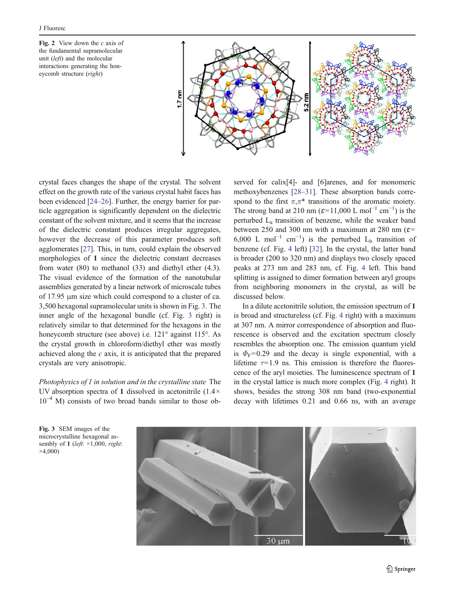<span id="page-2-0"></span>Fig. 2 View down the  $c$  axis of the fundamental supramolecular unit (left) and the molecular interactions generating the honeycomb structure (right)



crystal faces changes the shape of the crystal. The solvent effect on the growth rate of the various crystal habit faces has been evidenced [[24](#page-6-0)–[26](#page-6-0)]. Further, the energy barrier for particle aggregation is significantly dependent on the dielectric constant of the solvent mixture, and it seems that the increase of the dielectric constant produces irregular aggregates, however the decrease of this parameter produces soft agglomerates [[27\]](#page-6-0). This, in turn, could explain the observed morphologies of 1 since the dielectric constant decreases from water (80) to methanol (33) and diethyl ether (4.3). The visual evidence of the formation of the nanotubular assemblies generated by a linear network of microscale tubes of 17.95 μm size which could correspond to a cluster of ca. 3,500 hexagonal supramolecular units is shown in Fig. 3. The inner angle of the hexagonal bundle (cf. Fig. 3 right) is relatively similar to that determined for the hexagons in the honeycomb structure (see above) i.e. 121° against 115°. As the crystal growth in chloroform/diethyl ether was mostly achieved along the  $c$  axis, it is anticipated that the prepared crystals are very anisotropic.

Photophysics of 1 in solution and in the crystalline state The UV absorption spectra of 1 dissolved in acetonitrile (1.4×  $10^{-4}$  M) consists of two broad bands similar to those observed for calix[4]- and [6]arenes, and for monomeric methoxybenzenes [[28](#page-6-0)–[31\]](#page-6-0). These absorption bands correspond to the first  $\pi, \pi^*$  transitions of the aromatic moiety. The strong band at 210 nm ( $\varepsilon$ =11,000 L mol<sup>-1</sup> cm<sup>-1</sup>) is the perturbed La transition of benzene, while the weaker band between 250 and 300 nm with a maximum at 280 nm ( $\varepsilon$ = 6,000 L mol<sup>-1</sup> cm<sup>-1</sup>) is the perturbed L<sub>b</sub> transition of benzene (cf. Fig. [4](#page-3-0) left) [\[32](#page-6-0)]. In the crystal, the latter band is broader (200 to 320 nm) and displays two closely spaced peaks at 273 nm and 283 nm, cf. Fig. [4](#page-3-0) left. This band splitting is assigned to dimer formation between aryl groups from neighboring monomers in the crystal, as will be discussed below.

In a dilute acetonitrile solution, the emission spectrum of 1 is broad and structureless (cf. Fig. [4](#page-3-0) right) with a maximum at 307 nm. A mirror correspondence of absorption and fluorescence is observed and the excitation spectrum closely resembles the absorption one. The emission quantum yield is  $\Phi_F$ =0.29 and the decay is single exponential, with a lifetime  $\tau$ =1.9 ns. This emission is therefore the fluorescence of the aryl moieties. The luminescence spectrum of 1 in the crystal lattice is much more complex (Fig. [4](#page-3-0) right). It shows, besides the strong 308 nm band (two-exponential decay with lifetimes 0.21 and 0.66 ns, with an average



Fig. 3 SEM images of the microcrystalline hexagonal assembly of 1 (left:  $\times$ 1,000, right:  $\times$ 4,000)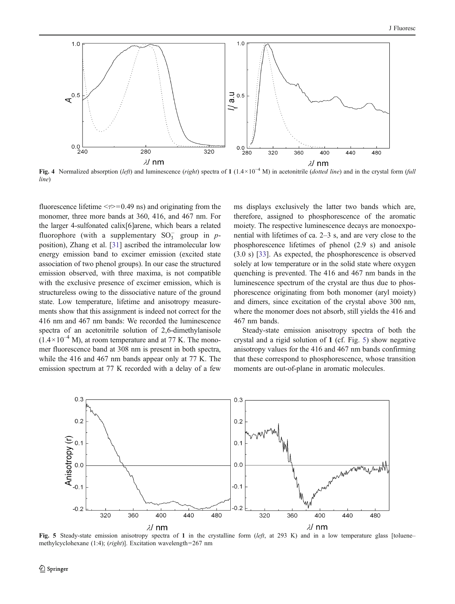<span id="page-3-0"></span>

Fig. 4 Normalized absorption (left) and luminescence (right) spectra of 1 (1.4×10<sup>-4</sup> M) in acetonitrile (dotted line) and in the crystal form (full line)

fluorescence lifetime  $\leq \tau \geq 0.49$  ns) and originating from the monomer, three more bands at 360, 416, and 467 nm. For the larger 4-sulfonated calix[6]arene, which bears a related fluorophore (with a supplementary  $SO_3^-$  group in  $p$ position), Zhang et al. [[31](#page-6-0)] ascribed the intramolecular low energy emission band to excimer emission (excited state association of two phenol groups). In our case the structured emission observed, with three maxima, is not compatible with the exclusive presence of excimer emission, which is structureless owing to the dissociative nature of the ground state. Low temperature, lifetime and anisotropy measurements show that this assignment is indeed not correct for the 416 nm and 467 nm bands: We recorded the luminescence spectra of an acetonitrile solution of 2,6-dimethylanisole  $(1.4 \times 10^{-4}$  M), at room temperature and at 77 K. The monomer fluorescence band at 308 nm is present in both spectra, while the 416 and 467 nm bands appear only at 77 K. The emission spectrum at 77 K recorded with a delay of a few

ms displays exclusively the latter two bands which are, therefore, assigned to phosphorescence of the aromatic moiety. The respective luminescence decays are monoexponential with lifetimes of ca. 2–3 s, and are very close to the phosphorescence lifetimes of phenol (2.9 s) and anisole (3.0 s) [[33\]](#page-6-0). As expected, the phosphorescence is observed solely at low temperature or in the solid state where oxygen quenching is prevented. The 416 and 467 nm bands in the luminescence spectrum of the crystal are thus due to phosphorescence originating from both monomer (aryl moiety) and dimers, since excitation of the crystal above 300 nm, where the monomer does not absorb, still yields the 416 and 467 nm bands.

Steady-state emission anisotropy spectra of both the crystal and a rigid solution of 1 (cf. Fig. 5) show negative anisotropy values for the 416 and 467 nm bands confirming that these correspond to phosphorescence, whose transition moments are out-of-plane in aromatic molecules.



Fig. 5 Steady-state emission anisotropy spectra of 1 in the crystalline form  $(left, at 293 K)$  and in a low temperature glass [toluenemethylcyclohexane (1:4); (right)]. Excitation wavelength=267 nm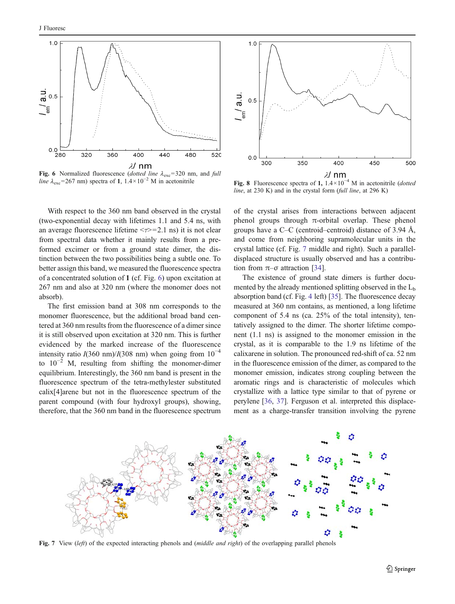<span id="page-4-0"></span>

Fig. 6 Normalized fluorescence (dotted line  $\lambda_{\text{exc}}$ =320 nm, and full line  $\lambda_{\rm exc}$ =267 nm) spectra of 1, 1.4×10<sup>-2</sup> M in acetonitrile

With respect to the 360 nm band observed in the crystal (two-exponential decay with lifetimes 1.1 and 5.4 ns, with an average fluorescence lifetime  $\leq \tau \geq 2.1$  ns) it is not clear from spectral data whether it mainly results from a preformed excimer or from a ground state dimer, the distinction between the two possibilities being a subtle one. To better assign this band, we measured the fluorescence spectra of a concentrated solution of 1 (cf. Fig. 6) upon excitation at 267 nm and also at 320 nm (where the monomer does not absorb).

The first emission band at 308 nm corresponds to the monomer fluorescence, but the additional broad band centered at 360 nm results from the fluorescence of a dimer since it is still observed upon excitation at 320 nm. This is further evidenced by the marked increase of the fluorescence intensity ratio  $I(360 \text{ nm})/I(308 \text{ nm})$  when going from  $10^{-4}$ to  $10^{-2}$  M, resulting from shifting the monomer-dimer equilibrium. Interestingly, the 360 nm band is present in the fluorescence spectrum of the tetra-methylester substituted calix[4]arene but not in the fluorescence spectrum of the parent compound (with four hydroxyl groups), showing, therefore, that the 360 nm band in the fluorescence spectrum



Fig. 8 Fluorescence spectra of 1,  $1.4 \times 10^{-4}$  M in acetonitrile (dotted line, at 230 K) and in the crystal form (full line, at 296 K)

of the crystal arises from interactions between adjacent phenol groups through  $π$ -orbital overlap. These phenol groups have a C–C (centroid–centroid) distance of 3.94 Å, and come from neighboring supramolecular units in the crystal lattice (cf. Fig. 7 middle and right). Such a paralleldisplaced structure is usually observed and has a contribution from  $\pi$ – $\sigma$  attraction [\[34](#page-6-0)].

The existence of ground state dimers is further documented by the already mentioned splitting observed in the  $L<sub>b</sub>$ absorption band (cf. Fig. [4](#page-3-0) left) [\[35](#page-6-0)]. The fluorescence decay measured at 360 nm contains, as mentioned, a long lifetime component of 5.4 ns (ca. 25% of the total intensity), tentatively assigned to the dimer. The shorter lifetime component (1.1 ns) is assigned to the monomer emission in the crystal, as it is comparable to the 1.9 ns lifetime of the calixarene in solution. The pronounced red-shift of ca. 52 nm in the fluorescence emission of the dimer, as compared to the monomer emission, indicates strong coupling between the aromatic rings and is characteristic of molecules which crystallize with a lattice type similar to that of pyrene or perylene [\[36,](#page-6-0) [37](#page-6-0)]. Ferguson et al. interpreted this displacement as a charge-transfer transition involving the pyrene



Fig. 7 View (left) of the expected interacting phenols and (middle and right) of the overlapping parallel phenols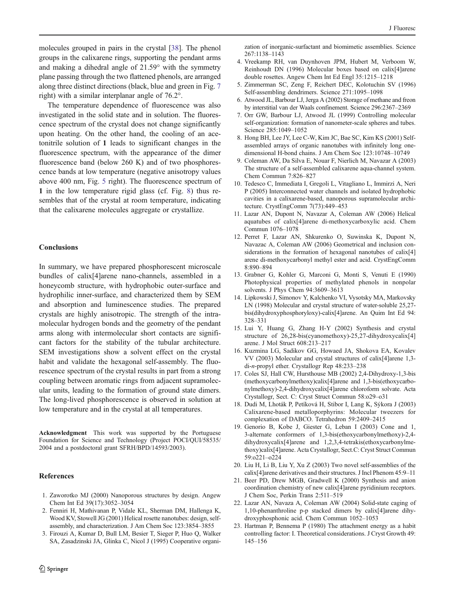<span id="page-5-0"></span>molecules grouped in pairs in the crystal [\[38\]](#page-6-0). The phenol groups in the calixarene rings, supporting the pendant arms and making a dihedral angle of 21.59° with the symmetry plane passing through the two flattened phenols, are arranged

along three distinct directions (black, blue and green in Fig. [7](#page-4-0) right) with a similar interplanar angle of 76.2°.

The temperature dependence of fluorescence was also investigated in the solid state and in solution. The fluorescence spectrum of the crystal does not change significantly upon heating. On the other hand, the cooling of an acetonitrile solution of 1 leads to significant changes in the fluorescence spectrum, with the appearance of the dimer fluorescence band (below 260 K) and of two phosphorescence bands at low temperature (negative anisotropy values above 400 nm, Fig. [5](#page-3-0) right). The fluorescence spectrum of 1 in the low temperature rigid glass (cf. Fig. [8\)](#page-4-0) thus resembles that of the crystal at room temperature, indicating that the calixarene molecules aggregate or crystallize.

# Conclusions

In summary, we have prepared phosphorescent microscale bundles of calix[4]arene nano-channels, assembled in a honeycomb structure, with hydrophobic outer-surface and hydrophilic inner-surface, and characterized them by SEM and absorption and luminescence studies. The prepared crystals are highly anisotropic. The strength of the intramolecular hydrogen bonds and the geometry of the pendant arms along with intermolecular short contacts are significant factors for the stability of the tubular architecture. SEM investigations show a solvent effect on the crystal habit and validate the hexagonal self-assembly. The fluorescence spectrum of the crystal results in part from a strong coupling between aromatic rings from adjacent supramolecular units, leading to the formation of ground state dimers. The long-lived phosphorescence is observed in solution at low temperature and in the crystal at all temperatures.

Acknowledgment This work was supported by the Portuguese Foundation for Science and Technology (Project POCI/QUI/58535/ 2004 and a postdoctoral grant SFRH/BPD/14593/2003).

#### References

- 1. Zaworotko MJ (2000) Nanoporous structures by design. Angew Chem Int Ed 39(17):3052–3054
- 2. Fenniri H, Mathivanan P, Vidale KL, Sherman DM, Hallenga K, Wood KV, Stowell JG (2001) Helical rosette nanotubes: design, selfassembly, and characterization. J Am Chem Soc 123:3854–3855
- 3. Firouzi A, Kumar D, Bull LM, Besier T, Sieger P, Huo Q, Walker SA, Zasadzinski JA, Glinka C, Nicol J (1995) Cooperative organi-

zation of inorganic-surfactant and biomimetic assemblies. Science 267:1138–1143

- 4. Vreekamp RH, van Duynhoven JPM, Hubert M, Verboom W, Reinhoudt DN (1996) Molecular boxes based on calix[4]arene double rosettes. Angew Chem Int Ed Engl 35:1215–1218
- 5. Zimmerman SC, Zeng F, Reichert DEC, Kolotuchin SV (1996) Self-assembling dendrimers. Science 271:1095–1098
- 6. Atwood JL, Barbour LJ, Jerga A (2002) Storage of methane and freon by interstitial van der Waals confinement. Science 296:2367–2369
- 7. Orr GW, Barbour LJ, Atwood JL (1999) Controlling molecular self-organization: formation of nanometer-scale spheres and tubes. Science 285:1049–1052
- 8. Hong BH, Lee JY, Lee C-W, Kim JC, Bae SC, Kim KS (2001) Selfassembled arrays of organic nanotubes with infinitely long onedimensional H-bond chains. J Am Chem Soc 123:10748–10749
- 9. Coleman AW, Da Silva E, Nouar F, Nierlich M, Navazar A (2003) The structure of a self-assembled calixarene aqua-channel system. Chem Commun 7:826–827
- 10. Tedesco C, Immediata I, Gregoli L, Vitagliano L, Immirzi A, Neri P (2005) Interconnected water channels and isolated hydrophobic cavities in a calixarene-based, nanoporous supramolecular architecture. CrystEngComm 7(73):449–453
- 11. Lazar AN, Dupont N, Navazar A, Coleman AW (2006) Helical aquatubes of calix[4]arene di-methoxycarboxylic acid. Chem Commun 1076–1078
- 12. Perret F, Lazar AN, Shkurenko O, Suwinska K, Dupont N, Navazac A, Coleman AW (2006) Geometrical and inclusion considerations in the formation of hexagonal nanotubes of calix<sup>[4]</sup> arene di-methoxycarbonyl methyl ester and acid. CrystEngComm 8:890–894
- 13. Grabner G, Kohler G, Marconi G, Monti S, Venuti E (1990) Photophysical properties of methylated phenols in nonpolar solvents. J Phys Chem 94:3609–3613
- 14. Lipkowski J, Simonov Y, Kalchenko VI, Vysotsky MA, Markovsky LN (1998) Molecular and crystal structure of water-soluble 25,27 bis(dihydroxyphosphoryloxy)-calix[4]arene. An Quim Int Ed 94: 328–331
- 15. Lui Y, Huang G, Zhang H-Y (2002) Synthesis and crystal structure of 26,28-bis(cyanomethoxy)-25,27-dihydroxycalix[4] arene. J Mol Struct 608:213–217
- 16. Kuzmina LG, Sadikov GG, Howaed JA, Shokova EA, Kovalev VV (2003) Molecular and crystal structures of calix[4]arene 1,3 di-n-propyl ether. Crystallogr Rep 48:233–238
- 17. Coles SJ, Hall CW, Hursthouse MB (2002) 2,4-Dihydroxy-1,3-bis (methoxycarbonylmethoxy)calix[4]arene and 1,3-bis(ethoxycarbonylmethoxy)-2,4-dihydroxycalix[4]arene chloroform solvate. Acta Crystallogr, Sect. C: Cryst Struct Commun 58:o29–o31
- 18. Dudi M, Lhoták P, Petíková H, Stibor I, Lang K, Sýkora J (2003) Calixarene-based metalloporphyrins: Molecular tweezers for complexation of DABCO. Tetrahedron 59:2409–2415
- 19. Genorio B, Kobe J, Giester G, Leban I (2003) Cone and 1, 3-alternate conformers of 1,3-bis(ethoxycarbonylmethoxy)-2,4 dihydroxycalix[4]arene and 1,2,3,4-tetrakis(ethoxycarbonylmethoxy)calix[4]arene. Acta Crystallogr, Sect.C: Cryst Struct Commun 59:o221–o224
- 20. Liu H, Li B, Liu Y, Xu Z (2003) Two novel self-assemblies of the calix[4]arene derivatives and their structures. J Incl Phenom 45:9–11
- 21. Beer PD, Drew MGB, Gradwell K (2000) Synthesis and anion coordination chemistry of new calix[4]arene pyridinium receptors. J Chem Soc, Perkin Trans 2:511–519
- 22. Lazar AN, Navaza A, Coleman AW (2004) Solid-state caging of 1,10-phenanthroline p-p stacked dimers by calix[4]arene dihydroxyphosphonic acid. Chem Commun 1052–1053
- 23. Hartman P, Bennema P (1980) The attachment energy as a habit controlling factor: I. Theoretical considerations. J Cryst Growth 49: 145–156